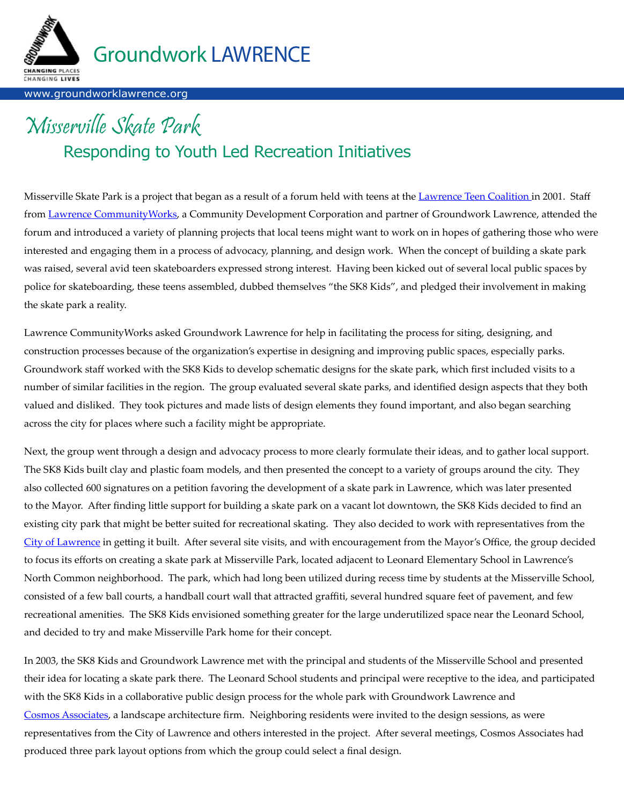

#### www.groundworklawrence.org

# Misserville Skate Park Responding to Youth Led Recreation Initiatives

Misserville Skate Park is a project that began as a result of a forum held with teens at the [Lawrence Teen Coalition](http://www.glcac.org/TeenCoalition/default.htm) in 2001. Staff from [Lawrence CommunityWorks](http://www.lawrencecommunityworks.org/), a Community Development Corporation and partner of Groundwork Lawrence, attended the forum and introduced a variety of planning projects that local teens might want to work on in hopes of gathering those who were interested and engaging them in a process of advocacy, planning, and design work. When the concept of building a skate park was raised, several avid teen skateboarders expressed strong interest. Having been kicked out of several local public spaces by police for skateboarding, these teens assembled, dubbed themselves "the SK8 Kids", and pledged their involvement in making the skate park a reality.

Lawrence CommunityWorks asked Groundwork Lawrence for help in facilitating the process for siting, designing, and construction processes because of the organization's expertise in designing and improving public spaces, especially parks. Groundwork staff worked with the SK8 Kids to develop schematic designs for the skate park, which first included visits to a number of similar facilities in the region. The group evaluated several skate parks, and identified design aspects that they both valued and disliked. They took pictures and made lists of design elements they found important, and also began searching across the city for places where such a facility might be appropriate.

Next, the group went through a design and advocacy process to more clearly formulate their ideas, and to gather local support. The SK8 Kids built clay and plastic foam models, and then presented the concept to a variety of groups around the city. They also collected 600 signatures on a petition favoring the development of a skate park in Lawrence, which was later presented to the Mayor. After finding little support for building a skate park on a vacant lot downtown, the SK8 Kids decided to find an existing city park that might be better suited for recreational skating. They also decided to work with representatives from the [City of Lawrence](http://www.cityoflawrence.com) in getting it built. After several site visits, and with encouragement from the Mayor's Office, the group decided to focus its efforts on creating a skate park at Misserville Park, located adjacent to Leonard Elementary School in Lawrence's North Common neighborhood. The park, which had long been utilized during recess time by students at the Misserville School, consisted of a few ball courts, a handball court wall that attracted graffiti, several hundred square feet of pavement, and few recreational amenities. The SK8 Kids envisioned something greater for the large underutilized space near the Leonard School, and decided to try and make Misserville Park home for their concept.

In 2003, the SK8 Kids and Groundwork Lawrence met with the principal and students of the Misserville School and presented their idea for locating a skate park there. The Leonard School students and principal were receptive to the idea, and participated with the SK8 Kids in a collaborative public design process for the whole park with Groundwork Lawrence and [Cosmos Associates](www.cosmosassociates.com), a landscape architecture firm. Neighboring residents were invited to the design sessions, as were representatives from the City of Lawrence and others interested in the project. After several meetings, Cosmos Associates had produced three park layout options from which the group could select a final design.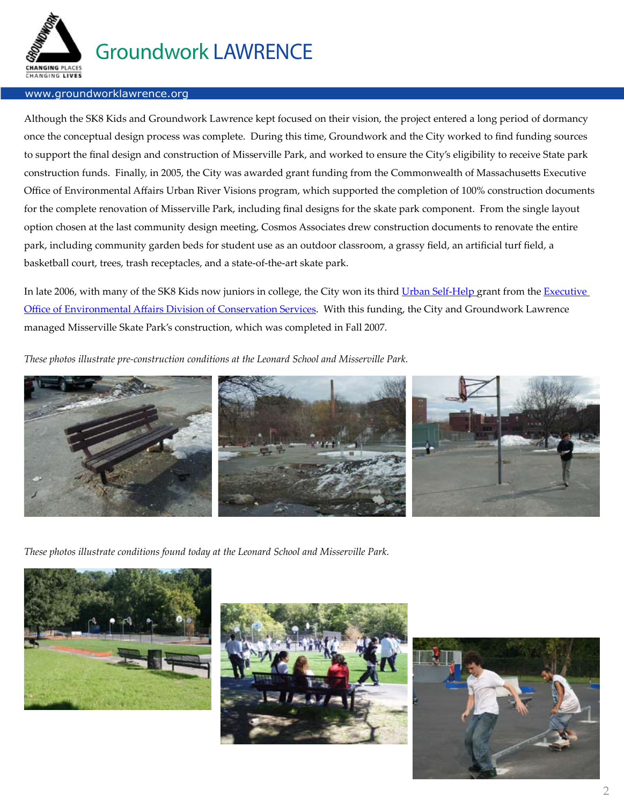

#### www.groundworklawrence.org

Although the SK8 Kids and Groundwork Lawrence kept focused on their vision, the project entered a long period of dormancy once the conceptual design process was complete. During this time, Groundwork and the City worked to find funding sources to support the final design and construction of Misserville Park, and worked to ensure the City's eligibility to receive State park construction funds. Finally, in 2005, the City was awarded grant funding from the Commonwealth of Massachusetts Executive Office of Environmental Affairs Urban River Visions program, which supported the completion of 100% construction documents for the complete renovation of Misserville Park, including final designs for the skate park component. From the single layout option chosen at the last community design meeting, Cosmos Associates drew construction documents to renovate the entire park, including community garden beds for student use as an outdoor classroom, a grassy field, an artificial turf field, a basketball court, trees, trash receptacles, and a state-of-the-art skate park.

In late 2006, with many of the SK8 Kids now juniors in college, the City won its third [Urban Self-Help](http://www.mass.gov/envir/dcs/urban/default.htm) grant from the Executive [Office of Environmental Affairs Division of Conservation Service](http://www.mass.gov/envir/dcs/)s. With this funding, the City and Groundwork Lawrence managed Misserville Skate Park's construction, which was completed in Fall 2007.

*These photos illustrate pre-construction conditions at the Leonard School and Misserville Park.*



*These photos illustrate conditions found today at the Leonard School and Misserville Park.*